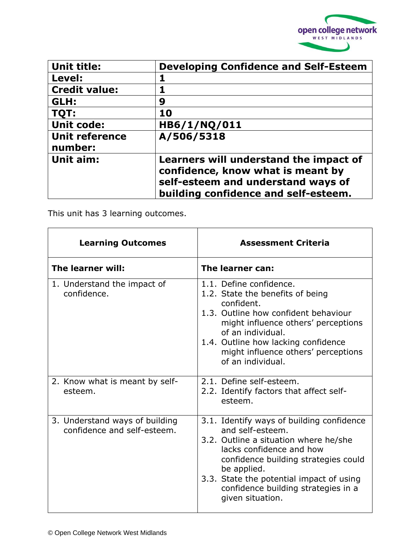

| <b>Unit title:</b>               | <b>Developing Confidence and Self-Esteem</b>                                                                                                              |
|----------------------------------|-----------------------------------------------------------------------------------------------------------------------------------------------------------|
| Level:                           |                                                                                                                                                           |
| <b>Credit value:</b>             |                                                                                                                                                           |
| GLH:                             | 9                                                                                                                                                         |
| TQT:                             | 10                                                                                                                                                        |
| <b>Unit code:</b>                | HB6/1/NQ/011                                                                                                                                              |
| <b>Unit reference</b><br>number: | A/506/5318                                                                                                                                                |
| Unit aim:                        | Learners will understand the impact of<br>confidence, know what is meant by<br>self-esteem and understand ways of<br>building confidence and self-esteem. |

This unit has 3 learning outcomes.

| <b>Learning Outcomes</b>                                                     | <b>Assessment Criteria</b>                                                                                                                                                                                                                                                                                   |
|------------------------------------------------------------------------------|--------------------------------------------------------------------------------------------------------------------------------------------------------------------------------------------------------------------------------------------------------------------------------------------------------------|
| The learner will:                                                            | The learner can:                                                                                                                                                                                                                                                                                             |
| 1. Understand the impact of<br>confidence.<br>2. Know what is meant by self- | 1.1. Define confidence.<br>1.2. State the benefits of being<br>confident.<br>1.3. Outline how confident behaviour<br>might influence others' perceptions<br>of an individual.<br>1.4. Outline how lacking confidence<br>might influence others' perceptions<br>of an individual.<br>2.1. Define self-esteem. |
| esteem.                                                                      | 2.2. Identify factors that affect self-<br>esteem.                                                                                                                                                                                                                                                           |
| 3. Understand ways of building<br>confidence and self-esteem.                | 3.1. Identify ways of building confidence<br>and self-esteem.<br>3.2. Outline a situation where he/she<br>lacks confidence and how<br>confidence building strategies could<br>be applied.<br>3.3. State the potential impact of using<br>confidence building strategies in a<br>given situation.             |